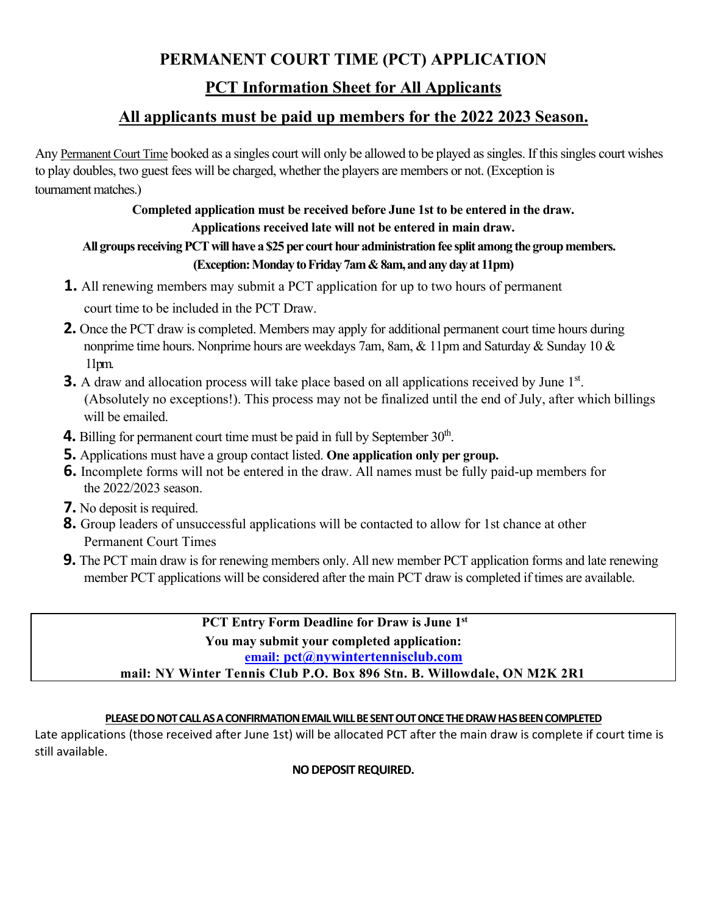## **PERMANENT COURT TIME (PCT) APPLICATION**

# **PCT Information Sheet for All Applicants**

# **All applicants must be paid up members for the 2022 2023 Season.**

Any Permanent Court Time booked as a singles court will only be allowed to be played as singles. If this singles court wishes to play doubles, two guest fees will be charged, whether the players are members or not. (Exception is tournament matches.)

### **Completed application must be received before June 1st to be entered in the draw. Applications received late will not be entered in main draw.**

## **All groups receiving PCT will have a \$25 per court hour administration fee split among the group members. (Exception: Monday to Friday 7am & 8am, and any day at 11pm)**

- **1.** All renewing members may submit a PCT application for up to two hours of permanent court time to be included in the PCT Draw.
- **2.** Once the PCT draw is completed. Members may apply for additional permanent court time hours during nonprime time hours. Nonprime hours are weekdays 7am, 8am, & 11pm and Saturday & Sunday 10 & 11pm.
- **3.** A draw and allocation process will take place based on all applications received by June 1<sup>st</sup>. (Absolutely no exceptions!). This process may not be finalized until the end of July, after which billings will be emailed.
- **4.** Billing for permanent court time must be paid in full by September  $30<sup>th</sup>$ .
- **5.** Applications must have a group contact listed. **One application only per group.**
- **6.** Incomplete forms will not be entered in the draw. All names must be fully paid-up members for the 2022/2023 season.
- **7.** No deposit is required.
- **8.** Group leaders of unsuccessful applications will be contacted to allow for 1st chance at other Permanent Court Times
- **9.** The PCT main draw is for renewing members only. All new member PCT application forms and late renewing member PCT applications will be considered after the main PCT draw is completed if times are available.

**[email:](mailto:pct@nywintertennisclub.com) pct@nywintertennisclub.com PCT Entry Form Deadline for Draw is June 1st You may submit your completed application: mail: NY Winter Tennis Club P.O. Box 896 Stn. B. Willowdale, ON M2K 2R1**

### **PLEASE DO NOT CALL AS A CONFIRMATION EMAIL WILL BE SENT OUT ONCE THE DRAW HAS BEEN COMPLETED**

Late applications (those received after June 1st) will be allocated PCT after the main draw is complete if court time is still available.

**NO DEPOSIT REQUIRED.**